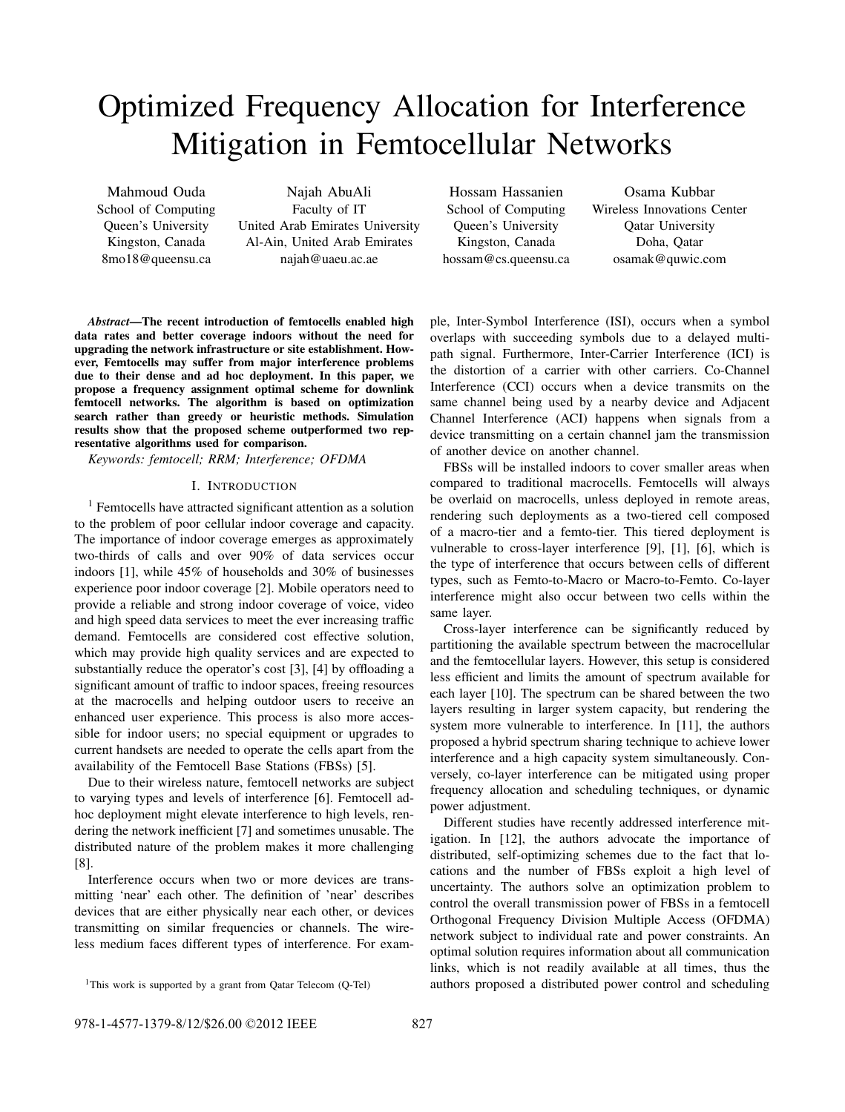# Optimized Frequency Allocation for Interference Mitigation in Femtocellular Networks

Mahmoud Ouda School of Computing Queen's University Kingston, Canada 8mo18@queensu.ca

Najah AbuAli Faculty of IT United Arab Emirates University Al-Ain, United Arab Emirates najah@uaeu.ac.ae

Hossam Hassanien School of Computing Queen's University Kingston, Canada hossam@cs.queensu.ca

Osama Kubbar Wireless Innovations Center Qatar University Doha, Qatar osamak@quwic.com

*Abstract*—The recent introduction of femtocells enabled high data rates and better coverage indoors without the need for upgrading the network infrastructure or site establishment. However, Femtocells may suffer from major interference problems due to their dense and ad hoc deployment. In this paper, we propose a frequency assignment optimal scheme for downlink femtocell networks. The algorithm is based on optimization search rather than greedy or heuristic methods. Simulation results show that the proposed scheme outperformed two representative algorithms used for comparison.

*Keywords: femtocell; RRM; Interference; OFDMA*

## I. INTRODUCTION

<sup>1</sup> Femtocells have attracted significant attention as a solution to the problem of poor cellular indoor coverage and capacity. The importance of indoor coverage emerges as approximately two-thirds of calls and over 90% of data services occur indoors [1], while 45% of households and 30% of businesses experience poor indoor coverage [2]. Mobile operators need to provide a reliable and strong indoor coverage of voice, video and high speed data services to meet the ever increasing traffic demand. Femtocells are considered cost effective solution, which may provide high quality services and are expected to substantially reduce the operator's cost [3], [4] by offloading a significant amount of traffic to indoor spaces, freeing resources at the macrocells and helping outdoor users to receive an enhanced user experience. This process is also more accessible for indoor users; no special equipment or upgrades to current handsets are needed to operate the cells apart from the availability of the Femtocell Base Stations (FBSs) [5].

Due to their wireless nature, femtocell networks are subject to varying types and levels of interference [6]. Femtocell adhoc deployment might elevate interference to high levels, rendering the network inefficient [7] and sometimes unusable. The distributed nature of the problem makes it more challenging [8].

Interference occurs when two or more devices are transmitting 'near' each other. The definition of 'near' describes devices that are either physically near each other, or devices transmitting on similar frequencies or channels. The wireless medium faces different types of interference. For exam-

ple, Inter-Symbol Interference (ISI), occurs when a symbol overlaps with succeeding symbols due to a delayed multipath signal. Furthermore, Inter-Carrier Interference (ICI) is the distortion of a carrier with other carriers. Co-Channel Interference (CCI) occurs when a device transmits on the same channel being used by a nearby device and Adjacent Channel Interference (ACI) happens when signals from a device transmitting on a certain channel jam the transmission of another device on another channel.

FBSs will be installed indoors to cover smaller areas when compared to traditional macrocells. Femtocells will always be overlaid on macrocells, unless deployed in remote areas, rendering such deployments as a two-tiered cell composed of a macro-tier and a femto-tier. This tiered deployment is vulnerable to cross-layer interference [9], [1], [6], which is the type of interference that occurs between cells of different types, such as Femto-to-Macro or Macro-to-Femto. Co-layer interference might also occur between two cells within the same layer.

Cross-layer interference can be significantly reduced by partitioning the available spectrum between the macrocellular and the femtocellular layers. However, this setup is considered less efficient and limits the amount of spectrum available for each layer [10]. The spectrum can be shared between the two layers resulting in larger system capacity, but rendering the system more vulnerable to interference. In [11], the authors proposed a hybrid spectrum sharing technique to achieve lower interference and a high capacity system simultaneously. Conversely, co-layer interference can be mitigated using proper frequency allocation and scheduling techniques, or dynamic power adjustment.

Different studies have recently addressed interference mitigation. In [12], the authors advocate the importance of distributed, self-optimizing schemes due to the fact that locations and the number of FBSs exploit a high level of uncertainty. The authors solve an optimization problem to control the overall transmission power of FBSs in a femtocell Orthogonal Frequency Division Multiple Access (OFDMA) network subject to individual rate and power constraints. An optimal solution requires information about all communication links, which is not readily available at all times, thus the authors proposed a distributed power control and scheduling

<sup>&</sup>lt;sup>1</sup>This work is supported by a grant from Qatar Telecom (Q-Tel)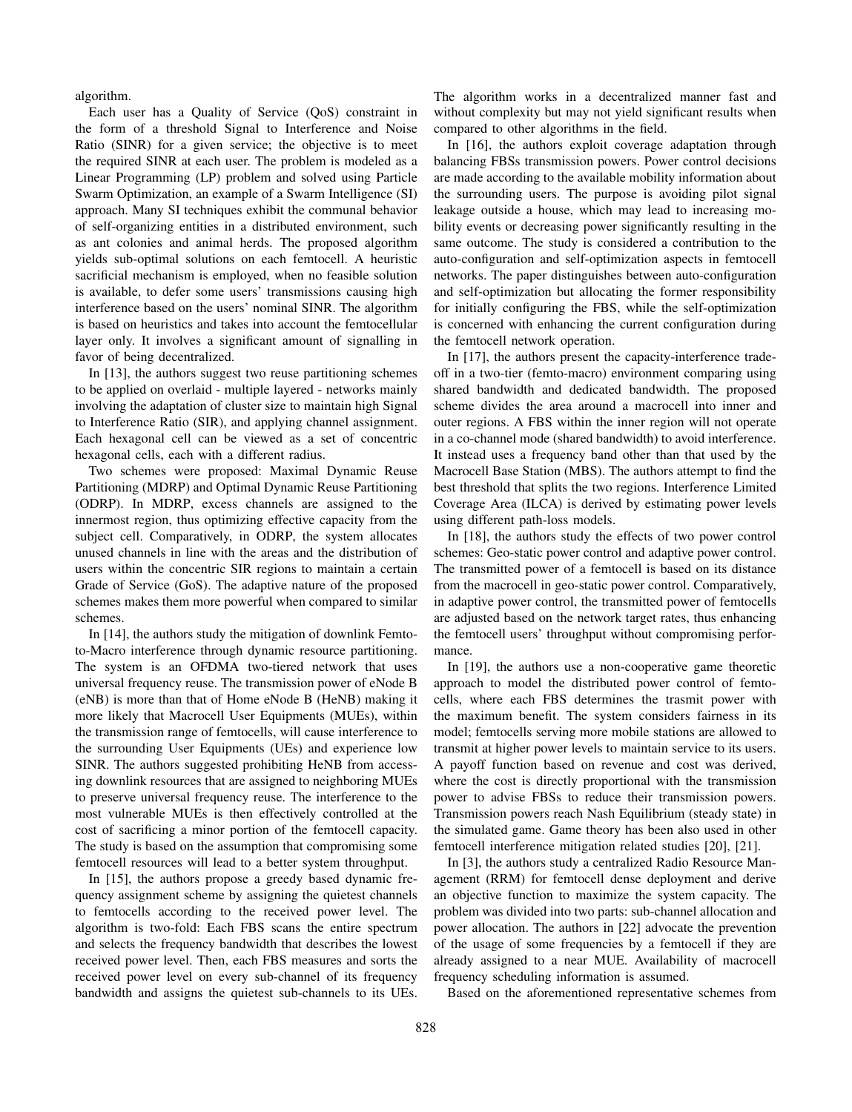algorithm.

Each user has a Quality of Service (QoS) constraint in the form of a threshold Signal to Interference and Noise Ratio (SINR) for a given service; the objective is to meet the required SINR at each user. The problem is modeled as a Linear Programming (LP) problem and solved using Particle Swarm Optimization, an example of a Swarm Intelligence (SI) approach. Many SI techniques exhibit the communal behavior of self-organizing entities in a distributed environment, such as ant colonies and animal herds. The proposed algorithm yields sub-optimal solutions on each femtocell. A heuristic sacrificial mechanism is employed, when no feasible solution is available, to defer some users' transmissions causing high interference based on the users' nominal SINR. The algorithm is based on heuristics and takes into account the femtocellular layer only. It involves a significant amount of signalling in favor of being decentralized.

In [13], the authors suggest two reuse partitioning schemes to be applied on overlaid - multiple layered - networks mainly involving the adaptation of cluster size to maintain high Signal to Interference Ratio (SIR), and applying channel assignment. Each hexagonal cell can be viewed as a set of concentric hexagonal cells, each with a different radius.

Two schemes were proposed: Maximal Dynamic Reuse Partitioning (MDRP) and Optimal Dynamic Reuse Partitioning (ODRP). In MDRP, excess channels are assigned to the innermost region, thus optimizing effective capacity from the subject cell. Comparatively, in ODRP, the system allocates unused channels in line with the areas and the distribution of users within the concentric SIR regions to maintain a certain Grade of Service (GoS). The adaptive nature of the proposed schemes makes them more powerful when compared to similar schemes.

In [14], the authors study the mitigation of downlink Femtoto-Macro interference through dynamic resource partitioning. The system is an OFDMA two-tiered network that uses universal frequency reuse. The transmission power of eNode B (eNB) is more than that of Home eNode B (HeNB) making it more likely that Macrocell User Equipments (MUEs), within the transmission range of femtocells, will cause interference to the surrounding User Equipments (UEs) and experience low SINR. The authors suggested prohibiting HeNB from accessing downlink resources that are assigned to neighboring MUEs to preserve universal frequency reuse. The interference to the most vulnerable MUEs is then effectively controlled at the cost of sacrificing a minor portion of the femtocell capacity. The study is based on the assumption that compromising some femtocell resources will lead to a better system throughput.

In [15], the authors propose a greedy based dynamic frequency assignment scheme by assigning the quietest channels to femtocells according to the received power level. The algorithm is two-fold: Each FBS scans the entire spectrum and selects the frequency bandwidth that describes the lowest received power level. Then, each FBS measures and sorts the received power level on every sub-channel of its frequency bandwidth and assigns the quietest sub-channels to its UEs. The algorithm works in a decentralized manner fast and without complexity but may not yield significant results when compared to other algorithms in the field.

In [16], the authors exploit coverage adaptation through balancing FBSs transmission powers. Power control decisions are made according to the available mobility information about the surrounding users. The purpose is avoiding pilot signal leakage outside a house, which may lead to increasing mobility events or decreasing power significantly resulting in the same outcome. The study is considered a contribution to the auto-configuration and self-optimization aspects in femtocell networks. The paper distinguishes between auto-configuration and self-optimization but allocating the former responsibility for initially configuring the FBS, while the self-optimization is concerned with enhancing the current configuration during the femtocell network operation.

In [17], the authors present the capacity-interference tradeoff in a two-tier (femto-macro) environment comparing using shared bandwidth and dedicated bandwidth. The proposed scheme divides the area around a macrocell into inner and outer regions. A FBS within the inner region will not operate in a co-channel mode (shared bandwidth) to avoid interference. It instead uses a frequency band other than that used by the Macrocell Base Station (MBS). The authors attempt to find the best threshold that splits the two regions. Interference Limited Coverage Area (ILCA) is derived by estimating power levels using different path-loss models.

In [18], the authors study the effects of two power control schemes: Geo-static power control and adaptive power control. The transmitted power of a femtocell is based on its distance from the macrocell in geo-static power control. Comparatively, in adaptive power control, the transmitted power of femtocells are adjusted based on the network target rates, thus enhancing the femtocell users' throughput without compromising performance.

In [19], the authors use a non-cooperative game theoretic approach to model the distributed power control of femtocells, where each FBS determines the trasmit power with the maximum benefit. The system considers fairness in its model; femtocells serving more mobile stations are allowed to transmit at higher power levels to maintain service to its users. A payoff function based on revenue and cost was derived, where the cost is directly proportional with the transmission power to advise FBSs to reduce their transmission powers. Transmission powers reach Nash Equilibrium (steady state) in the simulated game. Game theory has been also used in other femtocell interference mitigation related studies [20], [21].

In [3], the authors study a centralized Radio Resource Management (RRM) for femtocell dense deployment and derive an objective function to maximize the system capacity. The problem was divided into two parts: sub-channel allocation and power allocation. The authors in [22] advocate the prevention of the usage of some frequencies by a femtocell if they are already assigned to a near MUE. Availability of macrocell frequency scheduling information is assumed.

Based on the aforementioned representative schemes from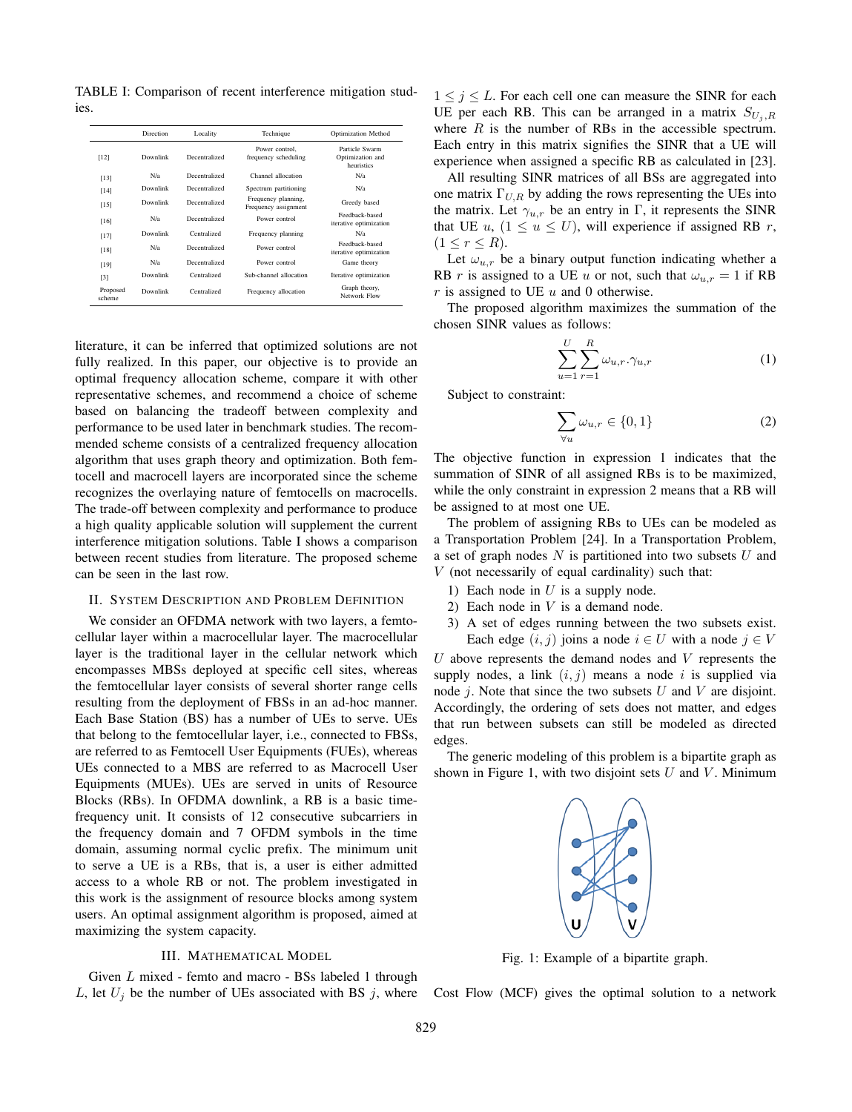TABLE I: Comparison of recent interference mitigation studies.

|                    | Direction | Locality      | Technique                                   | <b>Optimization Method</b>                       |
|--------------------|-----------|---------------|---------------------------------------------|--------------------------------------------------|
| [12]               | Downlink  | Decentralized | Power control.<br>frequency scheduling      | Particle Swarm<br>Optimization and<br>heuristics |
| [13]               | N/a       | Decentralized | Channel allocation                          | N/a                                              |
| $[14]$             | Downlink  | Decentralized | Spectrum partitioning                       | N/a                                              |
| [15]               | Downlink  | Decentralized | Frequency planning,<br>Frequency assignment | Greedy based                                     |
| [16]               | N/a       | Decentralized | Power control                               | Feedback-based<br>iterative optimization         |
| $[17]$             | Downlink  | Centralized   | Frequency planning                          | N/a                                              |
| [18]               | N/a       | Decentralized | Power control                               | Feedback-based<br>iterative optimization         |
| [19]               | N/a       | Decentralized | Power control                               | Game theory                                      |
| [3]                | Downlink  | Centralized   | Sub-channel allocation                      | Iterative optimization                           |
| Proposed<br>scheme | Downlink  | Centralized   | Frequency allocation                        | Graph theory,<br>Network Flow                    |

literature, it can be inferred that optimized solutions are not fully realized. In this paper, our objective is to provide an optimal frequency allocation scheme, compare it with other representative schemes, and recommend a choice of scheme based on balancing the tradeoff between complexity and performance to be used later in benchmark studies. The recommended scheme consists of a centralized frequency allocation algorithm that uses graph theory and optimization. Both femtocell and macrocell layers are incorporated since the scheme recognizes the overlaying nature of femtocells on macrocells. The trade-off between complexity and performance to produce a high quality applicable solution will supplement the current interference mitigation solutions. Table I shows a comparison between recent studies from literature. The proposed scheme can be seen in the last row.

### II. SYSTEM DESCRIPTION AND PROBLEM DEFINITION

We consider an OFDMA network with two layers, a femtocellular layer within a macrocellular layer. The macrocellular layer is the traditional layer in the cellular network which encompasses MBSs deployed at specific cell sites, whereas the femtocellular layer consists of several shorter range cells resulting from the deployment of FBSs in an ad-hoc manner. Each Base Station (BS) has a number of UEs to serve. UEs that belong to the femtocellular layer, i.e., connected to FBSs, are referred to as Femtocell User Equipments (FUEs), whereas UEs connected to a MBS are referred to as Macrocell User Equipments (MUEs). UEs are served in units of Resource Blocks (RBs). In OFDMA downlink, a RB is a basic timefrequency unit. It consists of 12 consecutive subcarriers in the frequency domain and 7 OFDM symbols in the time domain, assuming normal cyclic prefix. The minimum unit to serve a UE is a RBs, that is, a user is either admitted access to a whole RB or not. The problem investigated in this work is the assignment of resource blocks among system users. An optimal assignment algorithm is proposed, aimed at maximizing the system capacity.

## III. MATHEMATICAL MODEL

Given L mixed - femto and macro - BSs labeled 1 through L, let  $U_j$  be the number of UEs associated with BS j, where

 $1 \leq j \leq L$ . For each cell one can measure the SINR for each UE per each RB. This can be arranged in a matrix  $S_{U_i, R}$ where  $R$  is the number of RBs in the accessible spectrum. Each entry in this matrix signifies the SINR that a UE will experience when assigned a specific RB as calculated in [23].

All resulting SINR matrices of all BSs are aggregated into one matrix  $\Gamma_{U,R}$  by adding the rows representing the UEs into the matrix. Let  $\gamma_{u,r}$  be an entry in Γ, it represents the SINR that UE u,  $(1 \le u \le U)$ , will experience if assigned RB r,  $(1 \leq r \leq R).$ 

Let  $\omega_{u,r}$  be a binary output function indicating whether a RB r is assigned to a UE u or not, such that  $\omega_{u,r} = 1$  if RB  $r$  is assigned to UE  $u$  and 0 otherwise.

The proposed algorithm maximizes the summation of the chosen SINR values as follows:

$$
\sum_{u=1}^{U} \sum_{r=1}^{R} \omega_{u,r} \cdot \gamma_{u,r}
$$
 (1)

Subject to constraint:

$$
\sum_{\forall u} \omega_{u,r} \in \{0, 1\} \tag{2}
$$

The objective function in expression 1 indicates that the summation of SINR of all assigned RBs is to be maximized, while the only constraint in expression 2 means that a RB will be assigned to at most one UE.

The problem of assigning RBs to UEs can be modeled as a Transportation Problem [24]. In a Transportation Problem, a set of graph nodes  $N$  is partitioned into two subsets  $U$  and  $V$  (not necessarily of equal cardinality) such that:

- 1) Each node in  $U$  is a supply node.
- 2) Each node in  $V$  is a demand node.
- 3) A set of edges running between the two subsets exist. Each edge  $(i, j)$  joins a node  $i \in U$  with a node  $j \in V$

 $U$  above represents the demand nodes and  $V$  represents the supply nodes, a link  $(i, j)$  means a node i is supplied via node  $j$ . Note that since the two subsets  $U$  and  $V$  are disjoint. Accordingly, the ordering of sets does not matter, and edges that run between subsets can still be modeled as directed edges.

The generic modeling of this problem is a bipartite graph as shown in Figure 1, with two disjoint sets  $U$  and  $V$ . Minimum



Fig. 1: Example of a bipartite graph.

Cost Flow (MCF) gives the optimal solution to a network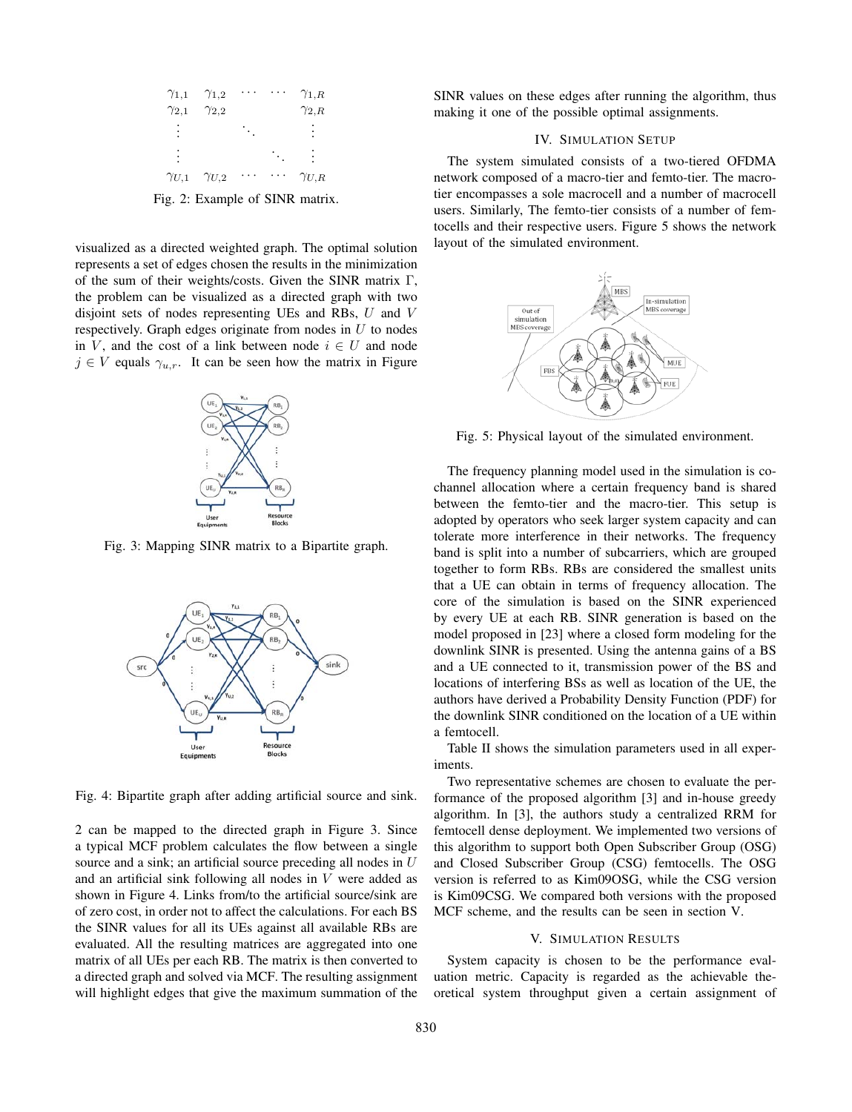| $\gamma_{1,1}$ | $\gamma_{1,2}$                  |  | $\gamma_{1,R}$ |
|----------------|---------------------------------|--|----------------|
| $\gamma_{2,1}$ | $\gamma_{2,2}$                  |  | $\gamma_{2,R}$ |
|                |                                 |  |                |
|                |                                 |  |                |
|                | $\gamma_{U,1}$ $\gamma_{U,2}$   |  | $\gamma_{U,R}$ |
|                | Fig. 2: Example of SINR matrix. |  |                |

visualized as a directed weighted graph. The optimal solution represents a set of edges chosen the results in the minimization of the sum of their weights/costs. Given the SINR matrix Γ, the problem can be visualized as a directed graph with two disjoint sets of nodes representing UEs and RBs, U and V respectively. Graph edges originate from nodes in  $U$  to nodes in V, and the cost of a link between node  $i \in U$  and node  $j \in V$  equals  $\gamma_{u,r}$ . It can be seen how the matrix in Figure



Fig. 3: Mapping SINR matrix to a Bipartite graph.



Fig. 4: Bipartite graph after adding artificial source and sink.

2 can be mapped to the directed graph in Figure 3. Since a typical MCF problem calculates the flow between a single source and a sink; an artificial source preceding all nodes in U and an artificial sink following all nodes in V were added as shown in Figure 4. Links from/to the artificial source/sink are of zero cost, in order not to affect the calculations. For each BS the SINR values for all its UEs against all available RBs are evaluated. All the resulting matrices are aggregated into one matrix of all UEs per each RB. The matrix is then converted to a directed graph and solved via MCF. The resulting assignment will highlight edges that give the maximum summation of the SINR values on these edges after running the algorithm, thus making it one of the possible optimal assignments.

## IV. SIMULATION SETUP

The system simulated consists of a two-tiered OFDMA network composed of a macro-tier and femto-tier. The macrotier encompasses a sole macrocell and a number of macrocell users. Similarly, The femto-tier consists of a number of femtocells and their respective users. Figure 5 shows the network layout of the simulated environment.



Fig. 5: Physical layout of the simulated environment.

The frequency planning model used in the simulation is cochannel allocation where a certain frequency band is shared between the femto-tier and the macro-tier. This setup is adopted by operators who seek larger system capacity and can tolerate more interference in their networks. The frequency band is split into a number of subcarriers, which are grouped together to form RBs. RBs are considered the smallest units that a UE can obtain in terms of frequency allocation. The core of the simulation is based on the SINR experienced by every UE at each RB. SINR generation is based on the model proposed in [23] where a closed form modeling for the downlink SINR is presented. Using the antenna gains of a BS and a UE connected to it, transmission power of the BS and locations of interfering BSs as well as location of the UE, the authors have derived a Probability Density Function (PDF) for the downlink SINR conditioned on the location of a UE within a femtocell.

Table II shows the simulation parameters used in all experiments.

Two representative schemes are chosen to evaluate the performance of the proposed algorithm [3] and in-house greedy algorithm. In [3], the authors study a centralized RRM for femtocell dense deployment. We implemented two versions of this algorithm to support both Open Subscriber Group (OSG) and Closed Subscriber Group (CSG) femtocells. The OSG version is referred to as Kim09OSG, while the CSG version is Kim09CSG. We compared both versions with the proposed MCF scheme, and the results can be seen in section V.

#### V. SIMULATION RESULTS

System capacity is chosen to be the performance evaluation metric. Capacity is regarded as the achievable theoretical system throughput given a certain assignment of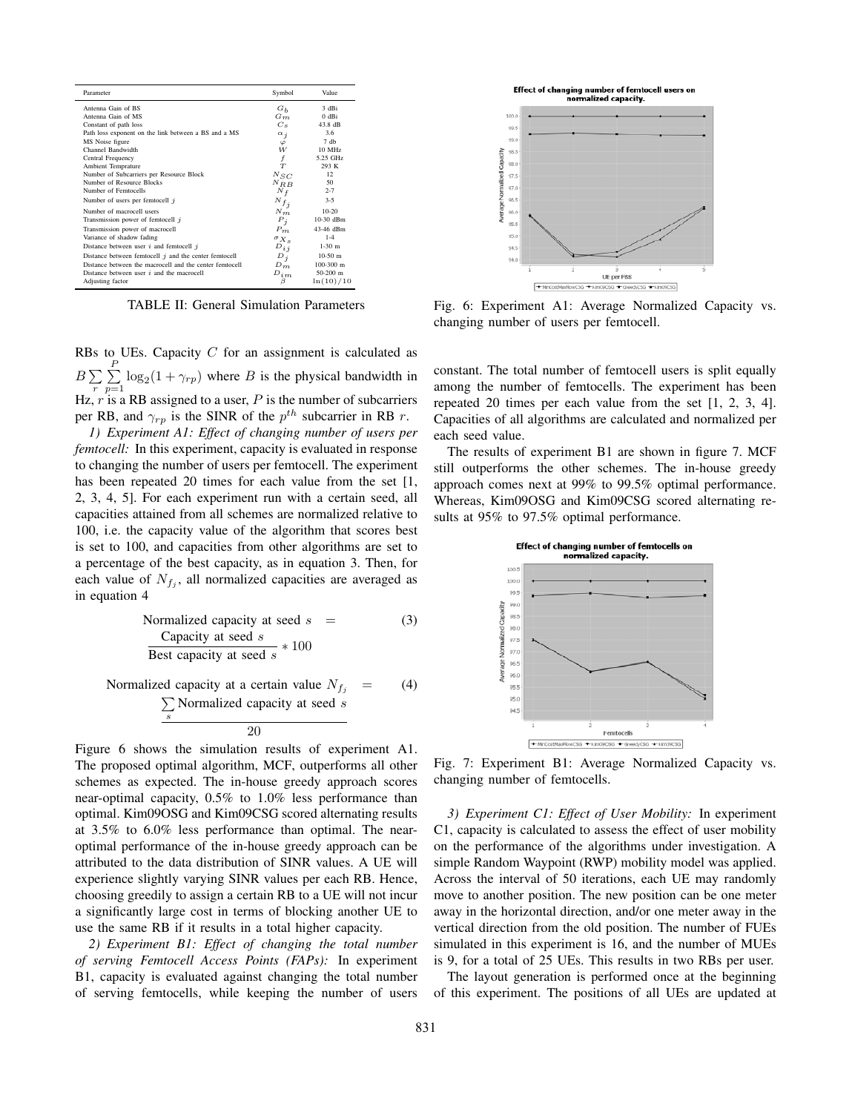| Parameter                                               | Symbol                 | Value       |
|---------------------------------------------------------|------------------------|-------------|
| Antenna Gain of BS                                      | $G_h$                  | 3 dBi       |
| Antenna Gain of MS                                      | $G_m$                  | $0$ dBi     |
| Constant of path loss                                   | $C_{S}$                | 43.8 dB     |
| Path loss exponent on the link between a BS and a MS    | $\alpha_i$             | 3.6         |
| MS Noise figure                                         | $\varphi$              | $7$ db      |
| Channel Bandwidth                                       | W                      | 10 MHz      |
| Central Frequency                                       | f                      | 5.25 GHz    |
| <b>Ambient Temprature</b>                               | T                      | 293 K       |
| Number of Subcarriers per Resource Block                | $N_{SC}$               | 12          |
| Number of Resource Blocks                               | $N_{RB}$               | 50          |
| Number of Femtocells                                    | $N_f$                  | $2 - 7$     |
| Number of users per femtocell $j$                       | $\scriptstyle N_{f_j}$ | $3 - 5$     |
| Number of macrocell users                               | $N_m$                  | $10-20$     |
| Transmission power of femtocell j                       | $P_i$                  | 10-30 dBm   |
| Transmission power of macrocell                         | $P_m$                  | 43-46 dBm   |
| Variance of shadow fading                               | $\sigma_{X_{\rm s}}$   | $1 - 4$     |
| Distance between user $i$ and femtocell $j$             | $D_{i,j}$              | $1-30$ m    |
| Distance between femtocell $j$ and the center femtocell | $D_i$                  | $10-50$ m   |
| Distance between the macrocell and the center femtocell | $D_m$                  | $100-300$ m |
| Distance between user $i$ and the macrocell             | $D_{im}$               | $50-200$ m  |
| Adjusting factor                                        | β                      | ln(10)/10   |

TABLE II: General Simulation Parameters

RBs to UEs. Capacity  $C$  for an assignment is calculated as  $B\sum_{r} \sum_{p=1}^{P} \log_2(1+\gamma_{rp})$  where B is the physical bandwidth in  $\lim_{r}$   $r=1$ <br>Hz, r is a RB assigned to a user, P is the number of subcarriers per RB, and  $\gamma_{rp}$  is the SINR of the  $p^{th}$  subcarrier in RB r.

*1) Experiment A1: Effect of changing number of users per femtocell:* In this experiment, capacity is evaluated in response to changing the number of users per femtocell. The experiment has been repeated 20 times for each value from the set [1, 2, 3, 4, 5]. For each experiment run with a certain seed, all capacities attained from all schemes are normalized relative to 100, i.e. the capacity value of the algorithm that scores best is set to 100, and capacities from other algorithms are set to a percentage of the best capacity, as in equation 3. Then, for each value of  $N_{f_i}$ , all normalized capacities are averaged as in equation 4

Normalized capacity at seed 
$$
s
$$
 =

\n(3)

\nCapacity at seed  $s$  \* 100

\nBest capacity at seed  $s$  \* 100

Normalized capacity at a certain value  $N_{f_j}$  = (4)<br>  $\sum_s$  Normalized capacity at seed *s* 

Figure 6 shows the simulation results of experiment A1. The proposed optimal algorithm, MCF, outperforms all other schemes as expected. The in-house greedy approach scores near-optimal capacity, 0.5% to 1.0% less performance than optimal. Kim09OSG and Kim09CSG scored alternating results at 3.5% to 6.0% less performance than optimal. The nearoptimal performance of the in-house greedy approach can be attributed to the data distribution of SINR values. A UE will experience slightly varying SINR values per each RB. Hence, choosing greedily to assign a certain RB to a UE will not incur a significantly large cost in terms of blocking another UE to use the same RB if it results in a total higher capacity.

*2) Experiment B1: Effect of changing the total number of serving Femtocell Access Points (FAPs):* In experiment B1, capacity is evaluated against changing the total number of serving femtocells, while keeping the number of users



Fig. 6: Experiment A1: Average Normalized Capacity vs. changing number of users per femtocell.

constant. The total number of femtocell users is split equally among the number of femtocells. The experiment has been repeated 20 times per each value from the set [1, 2, 3, 4]. Capacities of all algorithms are calculated and normalized per each seed value.

The results of experiment B1 are shown in figure 7. MCF still outperforms the other schemes. The in-house greedy approach comes next at 99% to 99.5% optimal performance. Whereas, Kim09OSG and Kim09CSG scored alternating results at 95% to 97.5% optimal performance.



Fig. 7: Experiment B1: Average Normalized Capacity vs. changing number of femtocells.

*3) Experiment C1: Effect of User Mobility:* In experiment C1, capacity is calculated to assess the effect of user mobility on the performance of the algorithms under investigation. A simple Random Waypoint (RWP) mobility model was applied. Across the interval of 50 iterations, each UE may randomly move to another position. The new position can be one meter away in the horizontal direction, and/or one meter away in the vertical direction from the old position. The number of FUEs simulated in this experiment is 16, and the number of MUEs is 9, for a total of 25 UEs. This results in two RBs per user.

The layout generation is performed once at the beginning of this experiment. The positions of all UEs are updated at